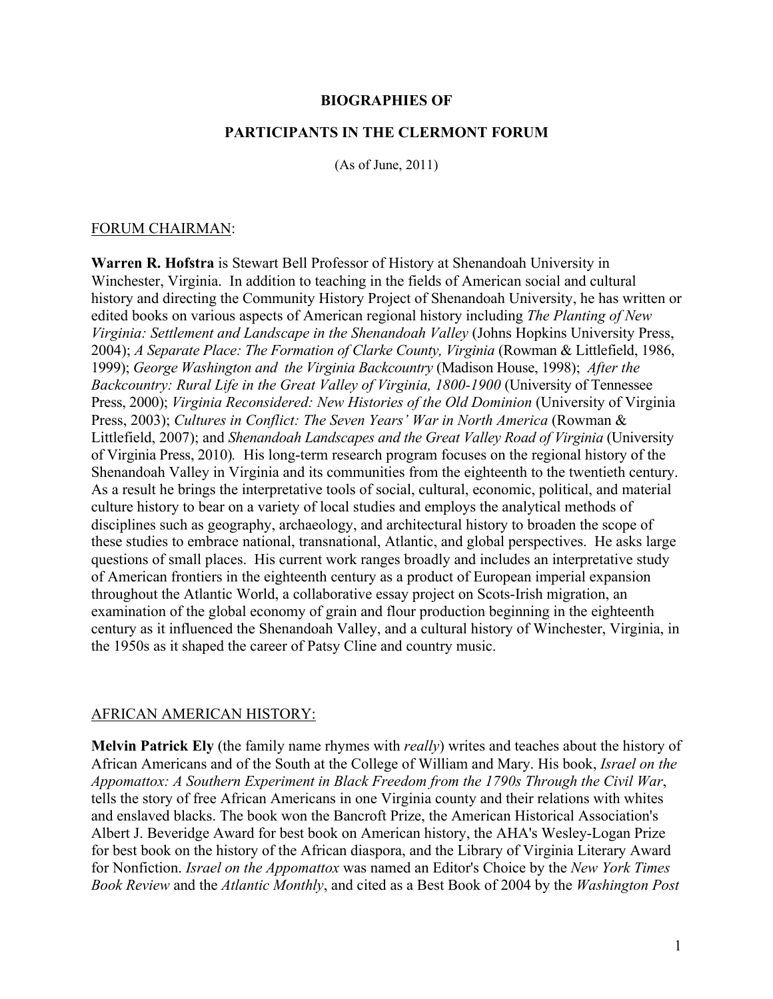#### **BIOGRAPHIES OF**

#### **PARTICIPANTS IN THE CLERMONT FORUM**

(As of June, 2011)

#### FORUM CHAIRMAN:

**Warren R. Hofstra** is Stewart Bell Professor of History at Shenandoah University in Winchester, Virginia. In addition to teaching in the fields of American social and cultural history and directing the Community History Project of Shenandoah University, he has written or edited books on various aspects of American regional history including *The Planting of New Virginia: Settlement and Landscape in the Shenandoah Valley* (Johns Hopkins University Press, 2004); *A Separate Place: The Formation of Clarke County, Virginia* (Rowman & Littlefield, 1986, 1999); *George Washington and the Virginia Backcountry* (Madison House, 1998); *After the Backcountry: Rural Life in the Great Valley of Virginia, 1800-1900 (University of Tennessee* Press, 2000); *Virginia Reconsidered: New Histories of the Old Dominion* (University of Virginia Press, 2003); *Cultures in Conflict: The Seven Years' War in North America* (Rowman & Littlefield, 2007); and *Shenandoah Landscapes and the Great Valley Road of Virginia* (University of Virginia Press, 2010)*.* His long-term research program focuses on the regional history of the Shenandoah Valley in Virginia and its communities from the eighteenth to the twentieth century. As a result he brings the interpretative tools of social, cultural, economic, political, and material culture history to bear on a variety of local studies and employs the analytical methods of disciplines such as geography, archaeology, and architectural history to broaden the scope of these studies to embrace national, transnational, Atlantic, and global perspectives. He asks large questions of small places. His current work ranges broadly and includes an interpretative study of American frontiers in the eighteenth century as a product of European imperial expansion throughout the Atlantic World, a collaborative essay project on Scots-Irish migration, an examination of the global economy of grain and flour production beginning in the eighteenth century as it influenced the Shenandoah Valley, and a cultural history of Winchester, Virginia, in the 1950s as it shaped the career of Patsy Cline and country music.

### AFRICAN AMERICAN HISTORY:

**Melvin Patrick Ely** (the family name rhymes with *really*) writes and teaches about the history of African Americans and of the South at the College of William and Mary. His book, *Israel on the Appomattox: A Southern Experiment in Black Freedom from the 1790s Through the Civil War*, tells the story of free African Americans in one Virginia county and their relations with whites and enslaved blacks. The book won the Bancroft Prize, the American Historical Association's Albert J. Beveridge Award for best book on American history, the AHA's Wesley-Logan Prize for best book on the history of the African diaspora, and the Library of Virginia Literary Award for Nonfiction. *Israel on the Appomattox* was named an Editor's Choice by the *New York Times Book Review* and the *Atlantic Monthly*, and cited as a Best Book of 2004 by the *Washington Post*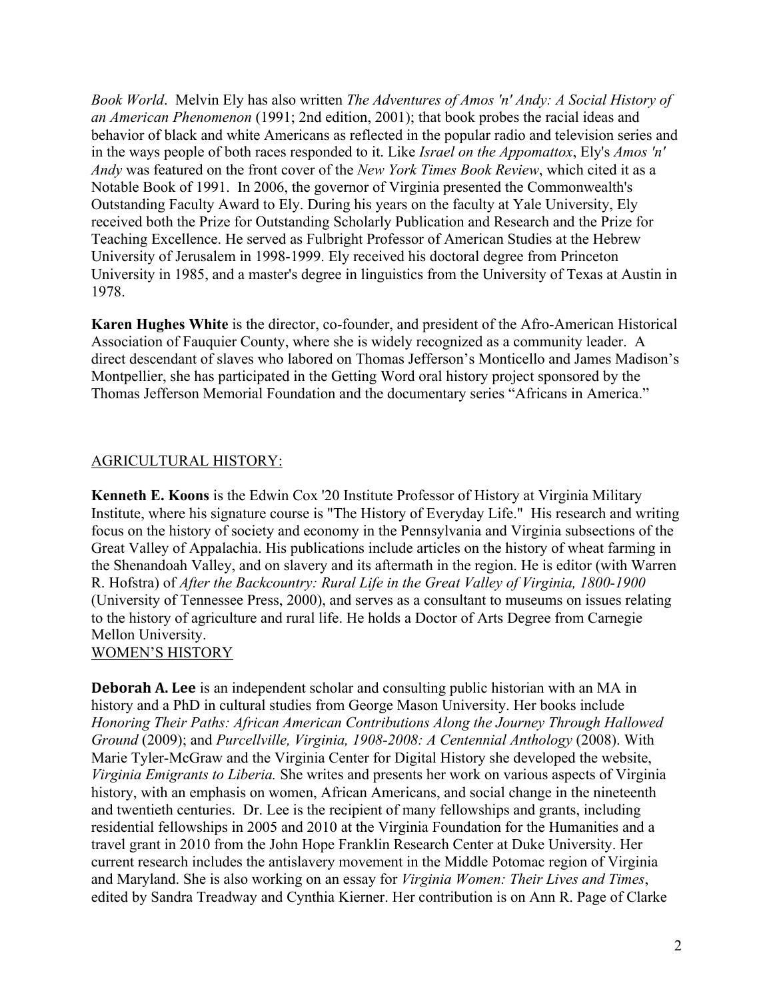*Book World*. Melvin Ely has also written *The Adventures of Amos 'n' Andy: A Social History of an American Phenomenon* (1991; 2nd edition, 2001); that book probes the racial ideas and behavior of black and white Americans as reflected in the popular radio and television series and in the ways people of both races responded to it. Like *Israel on the Appomattox*, Ely's *Amos 'n' Andy* was featured on the front cover of the *New York Times Book Review*, which cited it as a Notable Book of 1991. In 2006, the governor of Virginia presented the Commonwealth's Outstanding Faculty Award to Ely. During his years on the faculty at Yale University, Ely received both the Prize for Outstanding Scholarly Publication and Research and the Prize for Teaching Excellence. He served as Fulbright Professor of American Studies at the Hebrew University of Jerusalem in 1998-1999. Ely received his doctoral degree from Princeton University in 1985, and a master's degree in linguistics from the University of Texas at Austin in 1978.

**Karen Hughes White** is the director, co-founder, and president of the Afro-American Historical Association of Fauquier County, where she is widely recognized as a community leader. A direct descendant of slaves who labored on Thomas Jefferson's Monticello and James Madison's Montpellier, she has participated in the Getting Word oral history project sponsored by the Thomas Jefferson Memorial Foundation and the documentary series "Africans in America."

## AGRICULTURAL HISTORY:

**Kenneth E. Koons** is the Edwin Cox '20 Institute Professor of History at Virginia Military Institute, where his signature course is "The History of Everyday Life." His research and writing focus on the history of society and economy in the Pennsylvania and Virginia subsections of the Great Valley of Appalachia. His publications include articles on the history of wheat farming in the Shenandoah Valley, and on slavery and its aftermath in the region. He is editor (with Warren R. Hofstra) of *After the Backcountry: Rural Life in the Great Valley of Virginia, 1800-1900* (University of Tennessee Press, 2000), and serves as a consultant to museums on issues relating to the history of agriculture and rural life. He holds a Doctor of Arts Degree from Carnegie Mellon University.

## WOMEN'S HISTORY

**Deborah A. Lee** is an independent scholar and consulting public historian with an MA in history and a PhD in cultural studies from George Mason University. Her books include *Honoring Their Paths: African American Contributions Along the Journey Through Hallowed Ground* (2009); and *Purcellville, Virginia, 1908-2008: A Centennial Anthology* (2008). With Marie Tyler-McGraw and the Virginia Center for Digital History she developed the website, *Virginia Emigrants to Liberia.* She writes and presents her work on various aspects of Virginia history, with an emphasis on women, African Americans, and social change in the nineteenth and twentieth centuries. Dr. Lee is the recipient of many fellowships and grants, including residential fellowships in 2005 and 2010 at the Virginia Foundation for the Humanities and a travel grant in 2010 from the John Hope Franklin Research Center at Duke University. Her current research includes the antislavery movement in the Middle Potomac region of Virginia and Maryland. She is also working on an essay for *Virginia Women: Their Lives and Times*, edited by Sandra Treadway and Cynthia Kierner. Her contribution is on Ann R. Page of Clarke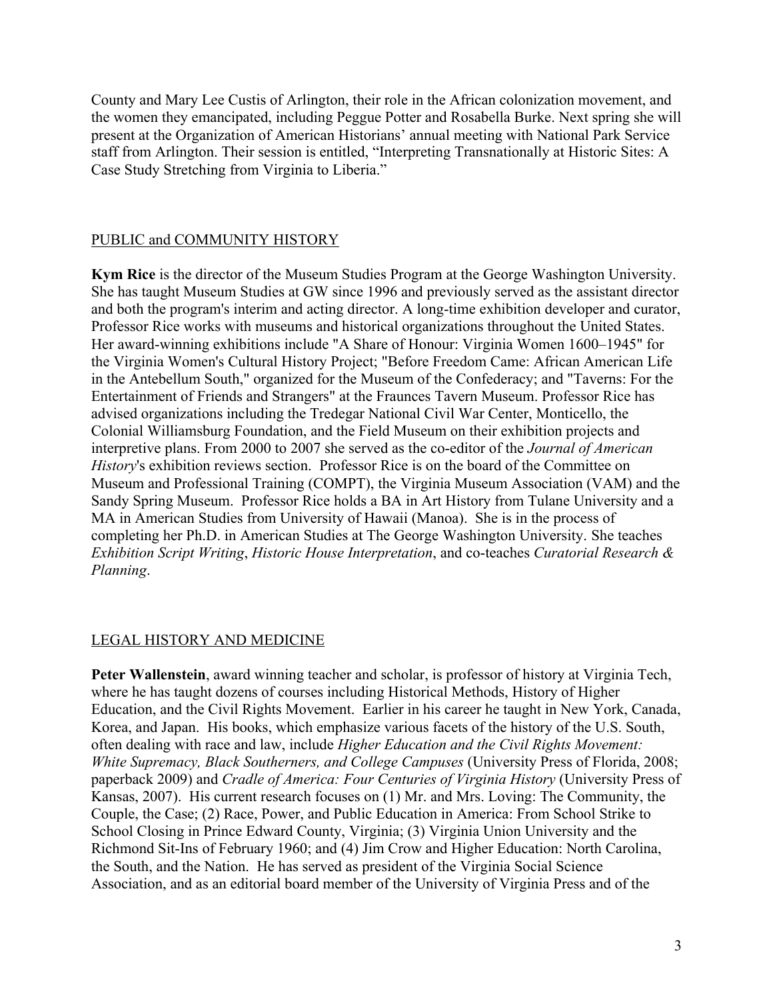County and Mary Lee Custis of Arlington, their role in the African colonization movement, and the women they emancipated, including Peggue Potter and Rosabella Burke. Next spring she will present at the Organization of American Historians' annual meeting with National Park Service staff from Arlington. Their session is entitled, "Interpreting Transnationally at Historic Sites: A Case Study Stretching from Virginia to Liberia."

### PUBLIC and COMMUNITY HISTORY

**Kym Rice** is the director of the Museum Studies Program at the George Washington University. She has taught Museum Studies at GW since 1996 and previously served as the assistant director and both the program's interim and acting director. A long-time exhibition developer and curator, Professor Rice works with museums and historical organizations throughout the United States. Her award-winning exhibitions include "A Share of Honour: Virginia Women 1600–1945" for the Virginia Women's Cultural History Project; "Before Freedom Came: African American Life in the Antebellum South," organized for the Museum of the Confederacy; and "Taverns: For the Entertainment of Friends and Strangers" at the Fraunces Tavern Museum. Professor Rice has advised organizations including the Tredegar National Civil War Center, Monticello, the Colonial Williamsburg Foundation, and the Field Museum on their exhibition projects and interpretive plans. From 2000 to 2007 she served as the co-editor of the *Journal of American History*'s exhibition reviews section. Professor Rice is on the board of the Committee on Museum and Professional Training (COMPT), the Virginia Museum Association (VAM) and the Sandy Spring Museum. Professor Rice holds a BA in Art History from Tulane University and a MA in American Studies from University of Hawaii (Manoa). She is in the process of completing her Ph.D. in American Studies at The George Washington University. She teaches *Exhibition Script Writing*, *Historic House Interpretation*, and co-teaches *Curatorial Research & Planning*.

### LEGAL HISTORY AND MEDICINE

**Peter Wallenstein**, award winning teacher and scholar, is professor of history at Virginia Tech, where he has taught dozens of courses including Historical Methods, History of Higher Education, and the Civil Rights Movement. Earlier in his career he taught in New York, Canada, Korea, and Japan. His books, which emphasize various facets of the history of the U.S. South, often dealing with race and law, include *Higher Education and the Civil Rights Movement: White Supremacy, Black Southerners, and College Campuses (University Press of Florida, 2008;* paperback 2009) and *Cradle of America: Four Centuries of Virginia History* (University Press of Kansas, 2007). His current research focuses on (1) Mr. and Mrs. Loving: The Community, the Couple, the Case; (2) Race, Power, and Public Education in America: From School Strike to School Closing in Prince Edward County, Virginia; (3) Virginia Union University and the Richmond Sit-Ins of February 1960; and (4) Jim Crow and Higher Education: North Carolina, the South, and the Nation. He has served as president of the Virginia Social Science Association, and as an editorial board member of the University of Virginia Press and of the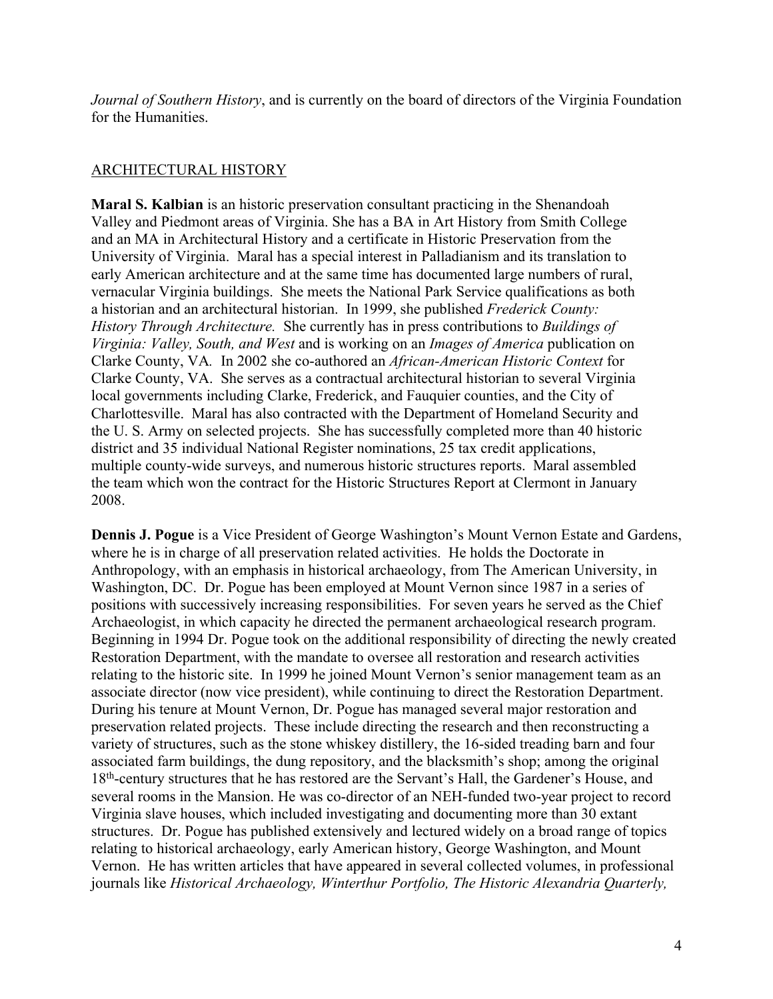*Journal of Southern History*, and is currently on the board of directors of the Virginia Foundation for the Humanities.

## ARCHITECTURAL HISTORY

**Maral S. Kalbian** is an historic preservation consultant practicing in the Shenandoah Valley and Piedmont areas of Virginia. She has a BA in Art History from Smith College and an MA in Architectural History and a certificate in Historic Preservation from the University of Virginia. Maral has a special interest in Palladianism and its translation to early American architecture and at the same time has documented large numbers of rural, vernacular Virginia buildings. She meets the National Park Service qualifications as both a historian and an architectural historian. In 1999, she published *Frederick County: History Through Architecture.* She currently has in press contributions to *Buildings of Virginia: Valley, South, and West* and is working on an *Images of America* publication on Clarke County, VA*.* In 2002 she co-authored an *African-American Historic Context* for Clarke County, VA. She serves as a contractual architectural historian to several Virginia local governments including Clarke, Frederick, and Fauquier counties, and the City of Charlottesville. Maral has also contracted with the Department of Homeland Security and the U. S. Army on selected projects. She has successfully completed more than 40 historic district and 35 individual National Register nominations, 25 tax credit applications, multiple county-wide surveys, and numerous historic structures reports. Maral assembled the team which won the contract for the Historic Structures Report at Clermont in January 2008.

**Dennis J. Pogue** is a Vice President of George Washington's Mount Vernon Estate and Gardens, where he is in charge of all preservation related activities. He holds the Doctorate in Anthropology, with an emphasis in historical archaeology, from The American University, in Washington, DC. Dr. Pogue has been employed at Mount Vernon since 1987 in a series of positions with successively increasing responsibilities. For seven years he served as the Chief Archaeologist, in which capacity he directed the permanent archaeological research program. Beginning in 1994 Dr. Pogue took on the additional responsibility of directing the newly created Restoration Department, with the mandate to oversee all restoration and research activities relating to the historic site. In 1999 he joined Mount Vernon's senior management team as an associate director (now vice president), while continuing to direct the Restoration Department. During his tenure at Mount Vernon, Dr. Pogue has managed several major restoration and preservation related projects. These include directing the research and then reconstructing a variety of structures, such as the stone whiskey distillery, the 16-sided treading barn and four associated farm buildings, the dung repository, and the blacksmith's shop; among the original 18<sup>th</sup>-century structures that he has restored are the Servant's Hall, the Gardener's House, and several rooms in the Mansion. He was co-director of an NEH-funded two-year project to record Virginia slave houses, which included investigating and documenting more than 30 extant structures. Dr. Pogue has published extensively and lectured widely on a broad range of topics relating to historical archaeology, early American history, George Washington, and Mount Vernon. He has written articles that have appeared in several collected volumes, in professional journals like *Historical Archaeology, Winterthur Portfolio, The Historic Alexandria Quarterly,*